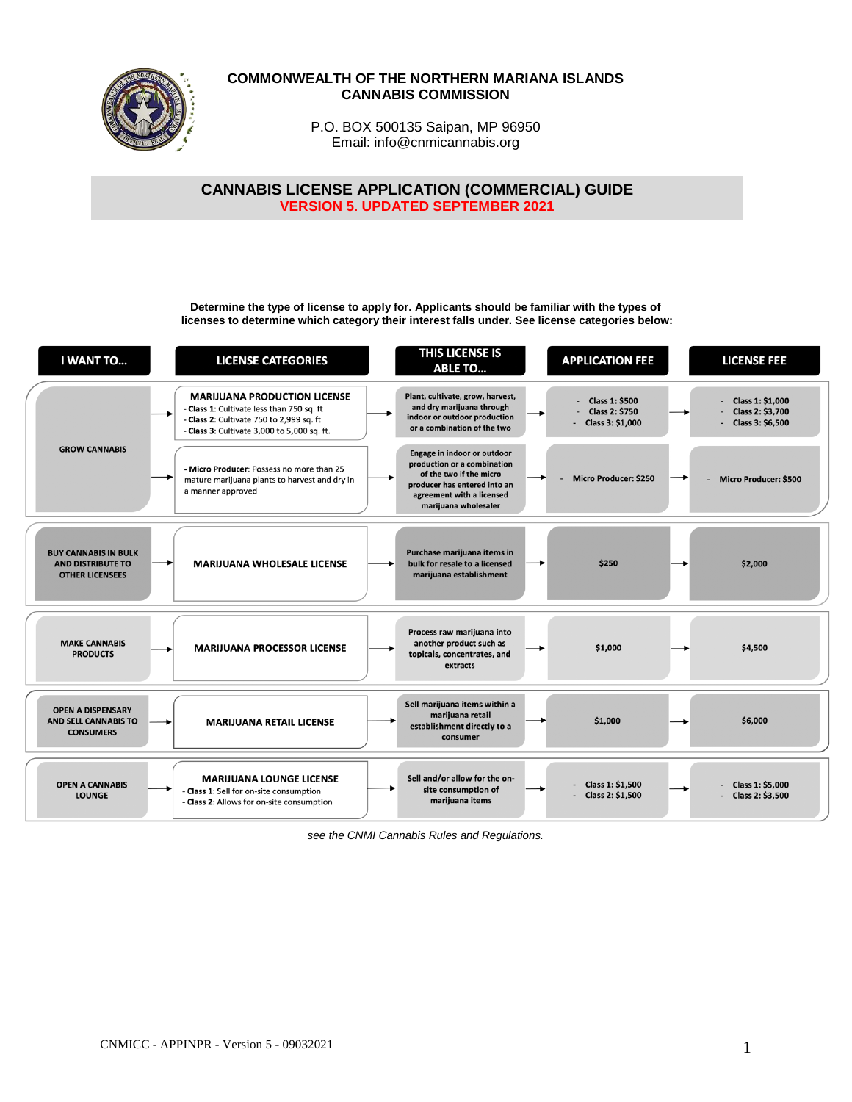

### **COMMONWEALTH OF THE NORTHERN MARIANA ISLANDS CANNABIS COMMISSION**

P.O. BOX 500135 Saipan, MP 96950 Email: info@cnmicannabis.org

**CANNABIS LICENSE APPLICATION (COMMERCIAL) GUIDE VERSION 5. UPDATED SEPTEMBER 2021**

**Determine the type of license to apply for. Applicants should be familiar with the types of licenses to determine which category their interest falls under. See license categories below:**

| <b>I WANT TO</b>                                                                  | <b>LICENSE CATEGORIES</b>                                                                                                                                                 | <b>THIS LICENSE IS</b><br><b>ABLE TO</b>                                                                                                                                   | <b>APPLICATION FEE</b>                                             | <b>LICENSE FEE</b>                                       |
|-----------------------------------------------------------------------------------|---------------------------------------------------------------------------------------------------------------------------------------------------------------------------|----------------------------------------------------------------------------------------------------------------------------------------------------------------------------|--------------------------------------------------------------------|----------------------------------------------------------|
|                                                                                   | <b>MARIJUANA PRODUCTION LICENSE</b><br>Class 1: Cultivate less than 750 sq. ft<br>- Class 2: Cultivate 750 to 2,999 sq. ft<br>- Class 3: Cultivate 3,000 to 5,000 sq. ft. | Plant, cultivate, grow, harvest,<br>and dry marijuana through<br>indoor or outdoor production<br>or a combination of the two                                               | <b>Class 1: \$500</b><br><b>Class 2: \$750</b><br>Class 3: \$1,000 | Class 1: \$1,000<br>Class 2: \$3,700<br>Class 3: \$6,500 |
| <b>GROW CANNABIS</b>                                                              | - Micro Producer: Possess no more than 25<br>mature marijuana plants to harvest and dry in<br>a manner approved                                                           | Engage in indoor or outdoor<br>production or a combination<br>of the two if the micro<br>producer has entered into an<br>agreement with a licensed<br>marijuana wholesaler | <b>Micro Producer: \$250</b>                                       | Micro Producer: \$500                                    |
| <b>BUY CANNABIS IN BULK</b><br><b>AND DISTRIBUTE TO</b><br><b>OTHER LICENSEES</b> | <b>MARIJUANA WHOLESALE LICENSE</b>                                                                                                                                        | Purchase marijuana items in<br>bulk for resale to a licensed<br>marijuana establishment                                                                                    | \$250                                                              | \$2,000                                                  |
| <b>MAKE CANNABIS</b><br><b>PRODUCTS</b>                                           | <b>MARIJUANA PROCESSOR LICENSE</b>                                                                                                                                        | Process raw marijuana into<br>another product such as<br>topicals, concentrates, and<br>extracts                                                                           | \$1,000                                                            | \$4,500                                                  |
| <b>OPEN A DISPENSARY</b><br><b>AND SELL CANNABIS TO</b><br><b>CONSUMERS</b>       | <b>MARIJUANA RETAIL LICENSE</b>                                                                                                                                           | Sell marijuana items within a<br>marijuana retail<br>establishment directly to a<br>consumer                                                                               | \$1,000                                                            | \$6,000                                                  |
| <b>OPEN A CANNABIS</b><br><b>LOUNGE</b>                                           | <b>MARIJUANA LOUNGE LICENSE</b><br>- Class 1: Sell for on-site consumption<br>- Class 2: Allows for on-site consumption                                                   | Sell and/or allow for the on-<br>site consumption of<br>marijuana items                                                                                                    | Class 1: \$1,500<br>Class 2: \$1,500                               | Class 1: \$5,000<br>Class 2: \$3,500                     |

*see the CNMI Cannabis Rules and Regulations.*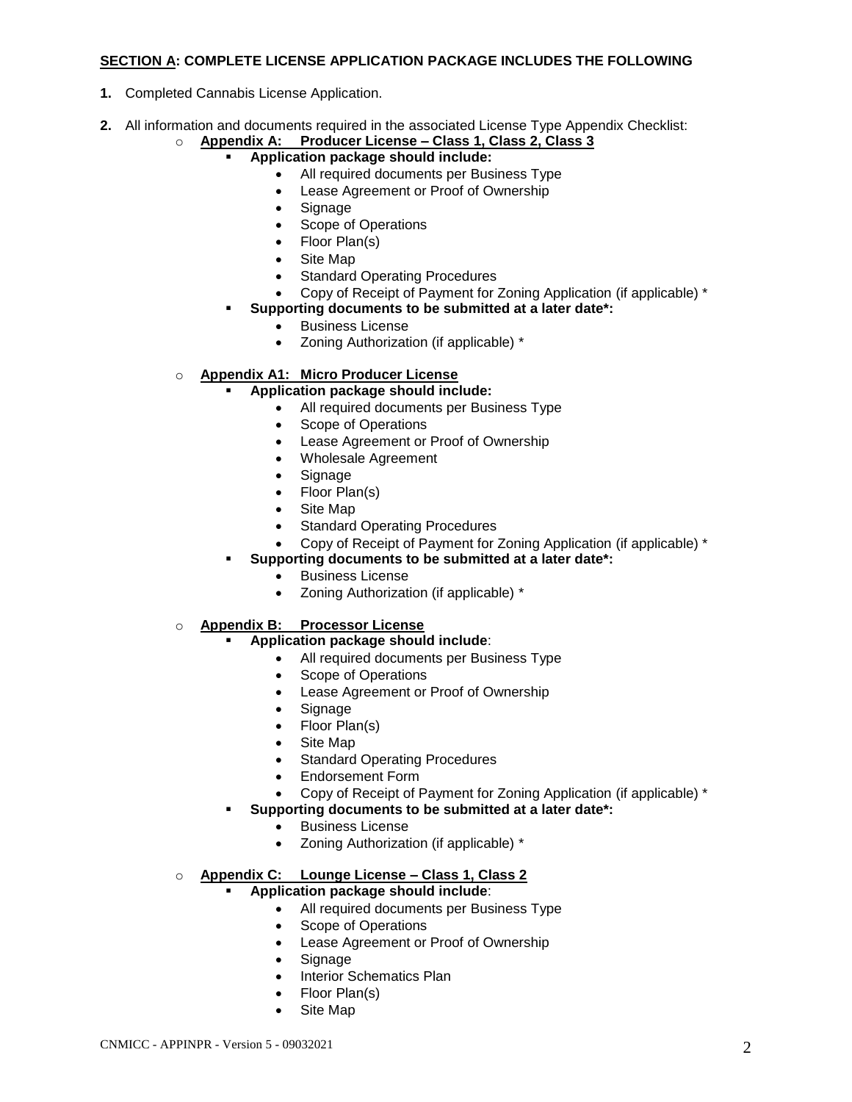## **SECTION A: COMPLETE LICENSE APPLICATION PACKAGE INCLUDES THE FOLLOWING**

- **1.** Completed Cannabis License Application.
- **2.** All information and documents required in the associated License Type Appendix Checklist:
	- o **Appendix A: Producer License – Class 1, Class 2, Class 3**
		- **Application package should include:**
			- All required documents per Business Type
				- Lease Agreement or Proof of Ownership
			- Signage
			- Scope of Operations
			- Floor Plan(s)
			- Site Map
			- Standard Operating Procedures
			- Copy of Receipt of Payment for Zoning Application (if applicable) \*
		- **Supporting documents to be submitted at a later date\*:** 
			- Business License
			- Zoning Authorization (if applicable) \*

# o **Appendix A1: Micro Producer License**

- **Application package should include:** 
	- All required documents per Business Type
	- Scope of Operations
	- Lease Agreement or Proof of Ownership
	- Wholesale Agreement
	- Signage
	- Floor Plan(s)
	- Site Map
	- Standard Operating Procedures
	- Copy of Receipt of Payment for Zoning Application (if applicable) \*
- **Supporting documents to be submitted at a later date\*:** 
	- Business License
	- Zoning Authorization (if applicable) \*

## o **Appendix B: Processor License**

## **Application package should include**:

- All required documents per Business Type
- Scope of Operations
- Lease Agreement or Proof of Ownership
- Signage
- Floor Plan(s)
- Site Map
- Standard Operating Procedures
- Endorsement Form
- Copy of Receipt of Payment for Zoning Application (if applicable) \*

## **Supporting documents to be submitted at a later date\*:**

- **•** Business License
- Zoning Authorization (if applicable) \*

## o **Appendix C: Lounge License – Class 1, Class 2**

- **Application package should include**:
	- All required documents per Business Type
	- Scope of Operations
	- Lease Agreement or Proof of Ownership
	- Signage
	- Interior Schematics Plan
	- Floor Plan(s)
	- Site Map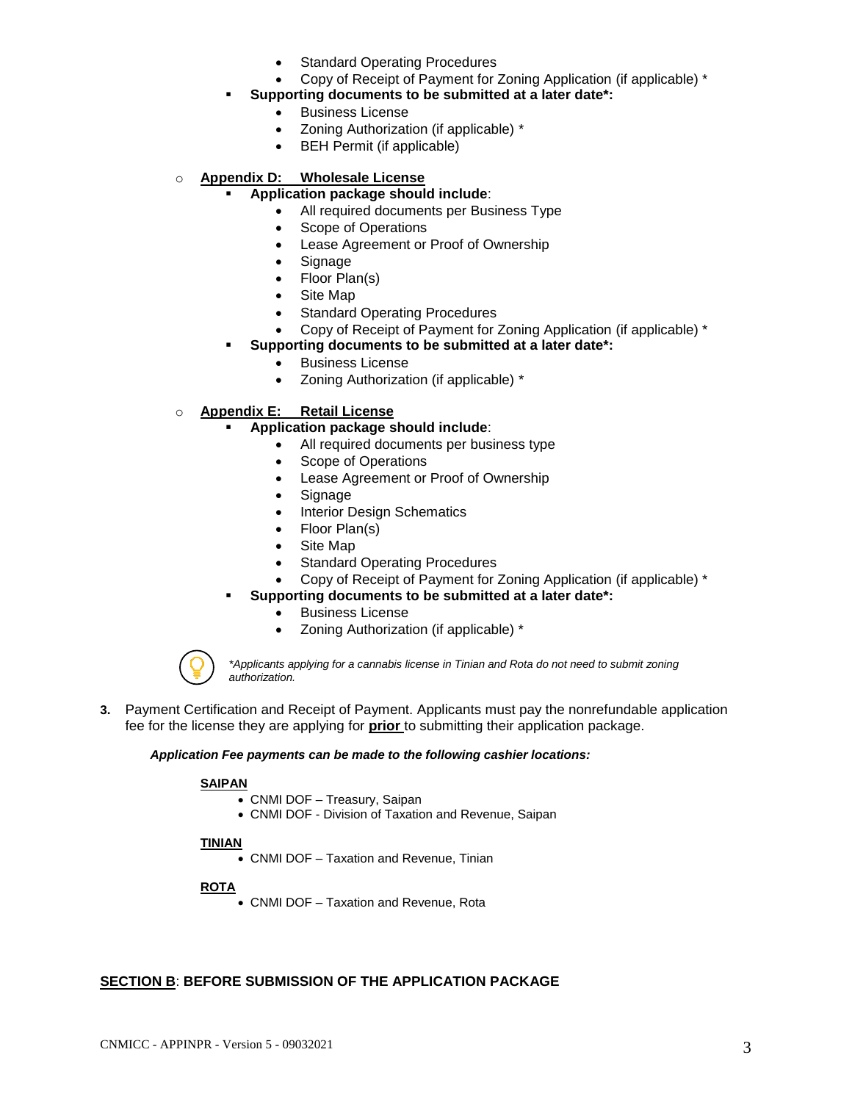- Standard Operating Procedures
- Copy of Receipt of Payment for Zoning Application (if applicable) \*

# **Supporting documents to be submitted at a later date\*:**

- **•** Business License
- Zoning Authorization (if applicable) \*
- BEH Permit (if applicable)

### o **Appendix D: Wholesale License**

### **Application package should include**:

- All required documents per Business Type
- Scope of Operations
- Lease Agreement or Proof of Ownership
- Signage
- Floor Plan(s)
- Site Map
- Standard Operating Procedures
- Copy of Receipt of Payment for Zoning Application (if applicable) \*

### **Supporting documents to be submitted at a later date\*:**

- Business License
	- Zoning Authorization (if applicable) \*

## o **Appendix E: Retail License**

### **Application package should include**:

- All required documents per business type
- Scope of Operations
- Lease Agreement or Proof of Ownership
- Signage
- Interior Design Schematics
- Floor Plan(s)
- Site Map
- Standard Operating Procedures
- Copy of Receipt of Payment for Zoning Application (if applicable) \*
- **Supporting documents to be submitted at a later date\*:** 
	- **•** Business License
	- Zoning Authorization (if applicable) \*



*\*Applicants applying for a cannabis license in Tinian and Rota do not need to submit zoning authorization.* 

**3.** Payment Certification and Receipt of Payment. Applicants must pay the nonrefundable application fee for the license they are applying for **prior** to submitting their application package.

#### *Application Fee payments can be made to the following cashier locations:*

### **SAIPAN**

- CNMI DOF Treasury, Saipan
- CNMI DOF Division of Taxation and Revenue, Saipan

### **TINIAN**

CNMI DOF – Taxation and Revenue, Tinian

### **ROTA**

CNMI DOF – Taxation and Revenue, Rota

### **SECTION B**: **BEFORE SUBMISSION OF THE APPLICATION PACKAGE**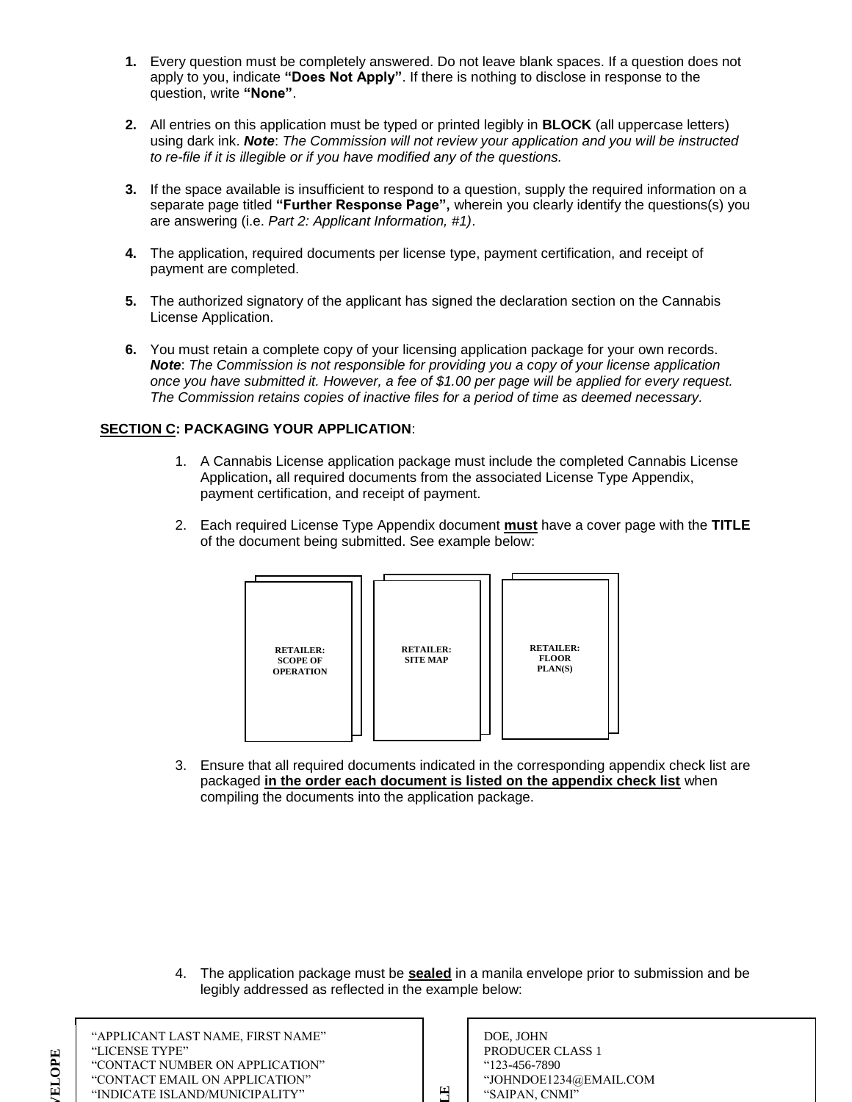- **1.** Every question must be completely answered. Do not leave blank spaces. If a question does not apply to you, indicate **"Does Not Apply"**. If there is nothing to disclose in response to the question, write **"None"**.
- **2.** All entries on this application must be typed or printed legibly in **BLOCK** (all uppercase letters) using dark ink. *Note*: *The Commission will not review your application and you will be instructed to re-file if it is illegible or if you have modified any of the questions.*
- **3.** If the space available is insufficient to respond to a question, supply the required information on a separate page titled **"Further Response Page",** wherein you clearly identify the questions(s) you are answering (i.e. *Part 2: Applicant Information, #1)*.
- **4.** The application, required documents per license type, payment certification, and receipt of payment are completed.
- **5.** The authorized signatory of the applicant has signed the declaration section on the Cannabis License Application.
- **6.** You must retain a complete copy of your licensing application package for your own records. *Note*: *The Commission is not responsible for providing you a copy of your license application once you have submitted it. However, a fee of \$1.00 per page will be applied for every request. The Commission retains copies of inactive files for a period of time as deemed necessary.*

## **SECTION C: PACKAGING YOUR APPLICATION**:

- 1. A Cannabis License application package must include the completed Cannabis License Application**,** all required documents from the associated License Type Appendix, payment certification, and receipt of payment.
- 2. Each required License Type Appendix document **must** have a cover page with the **TITLE** of the document being submitted. See example below:



3. Ensure that all required documents indicated in the corresponding appendix check list are packaged **in the order each document is listed on the appendix check list** when compiling the documents into the application package.

4. The application package must be **sealed** in a manila envelope prior to submission and be legibly addressed as reflected in the example below:

**EXAMPLE**

| "APPLICANT LAST NAME, FIRST NAME" |  |
|-----------------------------------|--|
| "LICENSE TYPE"                    |  |
| "CONTACT NUMBER ON APPLICATION"   |  |
| "CONTACT EMAIL ON APPLICATION"    |  |
| "INDICATE ISLAND/MUNICIPALITY"    |  |

**MANILA ENVELOPE** 

**ELOPE** 

| APPLICANT LAST NAME. FIRST NAME"<br>LICENSE TYPE"<br>CONTACT NUMBER ON APPLICATION" |          | DOE. JOHN<br><b>PRODUCER CLASS 1</b><br>"123-456-7890" |
|-------------------------------------------------------------------------------------|----------|--------------------------------------------------------|
| CONTACT EMAIL ON APPLICATION"                                                       |          | "JOHNDOE1234@EMAIL.COM                                 |
| NDICATE ISLAND/MUNICIPALITY"                                                        | $\Gamma$ | "SAIPAN. CNMI"                                         |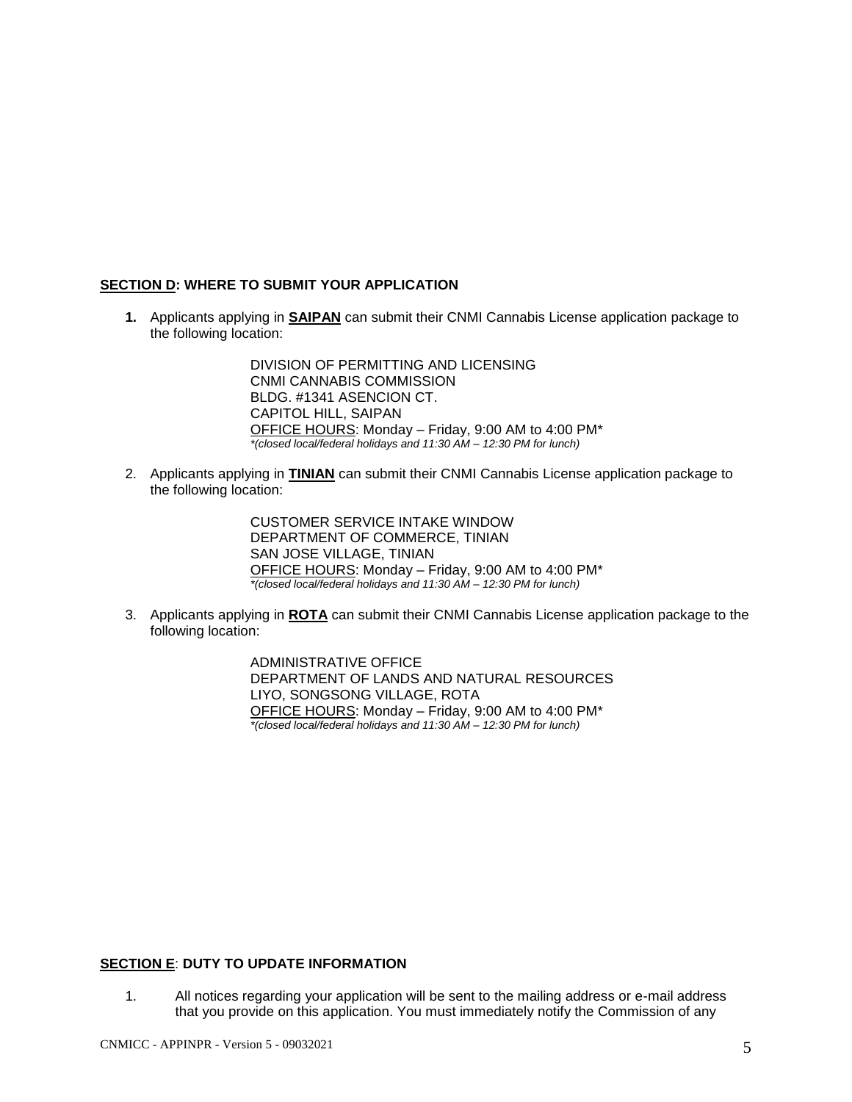### **SECTION D: WHERE TO SUBMIT YOUR APPLICATION**

**1.** Applicants applying in **SAIPAN** can submit their CNMI Cannabis License application package to the following location:

> DIVISION OF PERMITTING AND LICENSING CNMI CANNABIS COMMISSION BLDG. #1341 ASENCION CT. CAPITOL HILL, SAIPAN OFFICE HOURS: Monday – Friday, 9:00 AM to 4:00 PM\* *\*(closed local/federal holidays and 11:30 AM – 12:30 PM for lunch)*

2. Applicants applying in **TINIAN** can submit their CNMI Cannabis License application package to the following location:

> CUSTOMER SERVICE INTAKE WINDOW DEPARTMENT OF COMMERCE, TINIAN SAN JOSE VILLAGE, TINIAN OFFICE HOURS: Monday – Friday, 9:00 AM to 4:00 PM\* *\*(closed local/federal holidays and 11:30 AM – 12:30 PM for lunch)*

3. Applicants applying in **ROTA** can submit their CNMI Cannabis License application package to the following location:

> ADMINISTRATIVE OFFICE DEPARTMENT OF LANDS AND NATURAL RESOURCES LIYO, SONGSONG VILLAGE, ROTA OFFICE HOURS: Monday – Friday, 9:00 AM to 4:00 PM\* *\*(closed local/federal holidays and 11:30 AM – 12:30 PM for lunch)*

## **SECTION E**: **DUTY TO UPDATE INFORMATION**

1. All notices regarding your application will be sent to the mailing address or e-mail address that you provide on this application. You must immediately notify the Commission of any